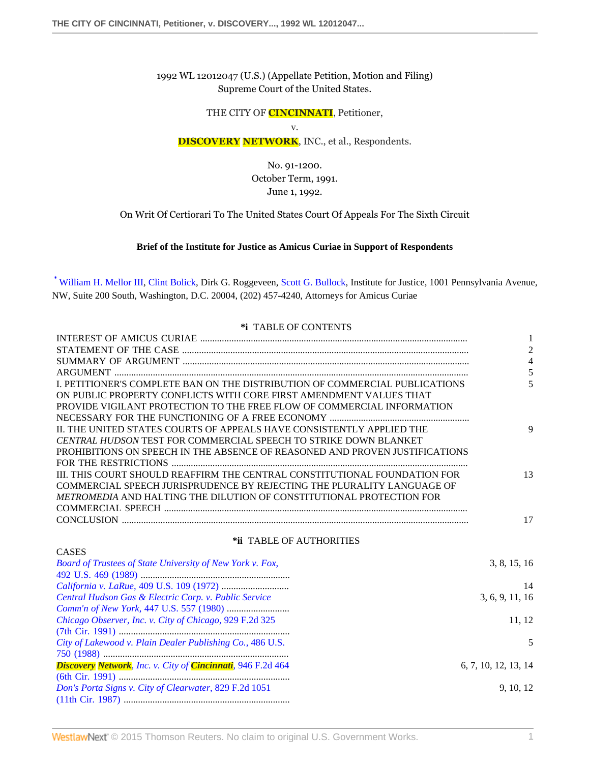1992 WL 12012047 (U.S.) (Appellate Petition, Motion and Filing) Supreme Court of the United States.

THE CITY OF **CINCINNATI**, Petitioner,

v.

# **DISCOVERY NETWORK**, INC., et al., Respondents.

No. 91-1200. October Term, 1991. June 1, 1992.

On Writ Of Certiorari To The United States Court Of Appeals For The Sixth Circuit

#### **Brief of the Institute for Justice as Amicus Curiae in Support of Respondents**

<span id="page-0-0"></span>[\\*](#page-7-0) [William H. Mellor III,](http://www.westlaw.com/Link/Document/FullText?findType=h&pubNum=176284&cite=0366739901&originatingDoc=I64865628f8ee11d8b80a9f6d63ee1f3d&refType=RQ&originationContext=document&vr=3.0&rs=cblt1.0&transitionType=DocumentItem&contextData=(sc.Search)) [Clint Bolick](http://www.westlaw.com/Link/Document/FullText?findType=h&pubNum=176284&cite=0335844701&originatingDoc=I64865628f8ee11d8b80a9f6d63ee1f3d&refType=RQ&originationContext=document&vr=3.0&rs=cblt1.0&transitionType=DocumentItem&contextData=(sc.Search)), Dirk G. Roggeveen, [Scott G. Bullock,](http://www.westlaw.com/Link/Document/FullText?findType=h&pubNum=176284&cite=0257245001&originatingDoc=I64865628f8ee11d8b80a9f6d63ee1f3d&refType=RQ&originationContext=document&vr=3.0&rs=cblt1.0&transitionType=DocumentItem&contextData=(sc.Search)) Institute for Justice, 1001 Pennsylvania Avenue, NW, Suite 200 South, Washington, D.C. 20004, (202) 457-4240, Attorneys for Amicus Curiae

#### **\*i** TABLE OF CONTENTS

|                                                                             | $\mathbf{1}$         |
|-----------------------------------------------------------------------------|----------------------|
|                                                                             | $\overline{2}$       |
|                                                                             | $\overline{4}$       |
|                                                                             | 5                    |
| I. PETITIONER'S COMPLETE BAN ON THE DISTRIBUTION OF COMMERCIAL PUBLICATIONS | 5                    |
| ON PUBLIC PROPERTY CONFLICTS WITH CORE FIRST AMENDMENT VALUES THAT          |                      |
| PROVIDE VIGILANT PROTECTION TO THE FREE FLOW OF COMMERCIAL INFORMATION      |                      |
|                                                                             |                      |
| II. THE UNITED STATES COURTS OF APPEALS HAVE CONSISTENTLY APPLIED THE       | 9                    |
| <b>CENTRAL HUDSON TEST FOR COMMERCIAL SPEECH TO STRIKE DOWN BLANKET</b>     |                      |
| PROHIBITIONS ON SPEECH IN THE ABSENCE OF REASONED AND PROVEN JUSTIFICATIONS |                      |
|                                                                             |                      |
| III. THIS COURT SHOULD REAFFIRM THE CENTRAL CONSTITUTIONAL FOUNDATION FOR   | 13                   |
| COMMERCIAL SPEECH JURISPRUDENCE BY REJECTING THE PLURALITY LANGUAGE OF      |                      |
| METROMEDIA AND HALTING THE DILUTION OF CONSTITUTIONAL PROTECTION FOR        |                      |
|                                                                             |                      |
|                                                                             | 17                   |
| *ii TABLE OF AUTHORITIES                                                    |                      |
| <b>CASES</b>                                                                |                      |
| Board of Trustees of State University of New York v. Fox,                   | 3, 8, 15, 16         |
|                                                                             |                      |
|                                                                             | 14                   |
| Central Hudson Gas & Electric Corp. v. Public Service                       | 3, 6, 9, 11, 16      |
|                                                                             |                      |
| Chicago Observer, Inc. v. City of Chicago, 929 F.2d 325                     | 11, 12               |
|                                                                             |                      |
| City of Lakewood v. Plain Dealer Publishing Co., 486 U.S.                   | 5                    |
|                                                                             |                      |
| <b>Discovery Network</b> , Inc. v. City of <b>Cincinnati</b> , 946 F.2d 464 | 6, 7, 10, 12, 13, 14 |
|                                                                             |                      |
| Don's Porta Signs v. City of Clearwater, 829 F.2d 1051                      | 9, 10, 12            |
|                                                                             |                      |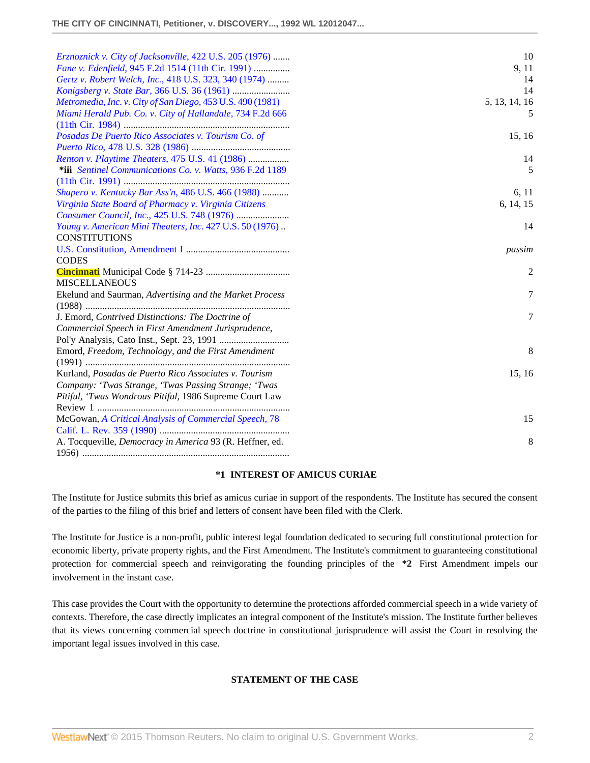| Erznoznick v. City of Jacksonville, 422 U.S. 205 (1976)<br>Fane v. Edenfield, 945 F.2d 1514 (11th Cir. 1991)<br>Gertz v. Robert Welch, Inc., 418 U.S. 323, 340 (1974)<br>Metromedia, Inc. v. City of San Diego, 453 U.S. 490 (1981)<br>Miami Herald Pub. Co. v. City of Hallandale, 734 F.2d 666 | 10<br>9, 11<br>14<br>14<br>5, 13, 14, 16<br>5 |
|--------------------------------------------------------------------------------------------------------------------------------------------------------------------------------------------------------------------------------------------------------------------------------------------------|-----------------------------------------------|
| Posadas De Puerto Rico Associates v. Tourism Co. of                                                                                                                                                                                                                                              | 15, 16                                        |
| Renton v. Playtime Theaters, 475 U.S. 41 (1986)<br>*iii Sentinel Communications Co. v. Watts, 936 F.2d 1189                                                                                                                                                                                      | 14<br>5                                       |
| Shapero v. Kentucky Bar Ass'n, 486 U.S. 466 (1988)<br>Virginia State Board of Pharmacy v. Virginia Citizens                                                                                                                                                                                      | 6, 11<br>6, 14, 15                            |
| Young v. American Mini Theaters, Inc. 427 U.S. 50 (1976).<br><b>CONSTITUTIONS</b>                                                                                                                                                                                                                | 14                                            |
| <b>CODES</b>                                                                                                                                                                                                                                                                                     | passim                                        |
|                                                                                                                                                                                                                                                                                                  | 2                                             |
| <b>MISCELLANEOUS</b><br>Ekelund and Saurman, Advertising and the Market Process                                                                                                                                                                                                                  | 7                                             |
| J. Emord, Contrived Distinctions: The Doctrine of<br>Commercial Speech in First Amendment Jurisprudence,                                                                                                                                                                                         | 7                                             |
| Emord, Freedom, Technology, and the First Amendment                                                                                                                                                                                                                                              | 8                                             |
| Kurland, Posadas de Puerto Rico Associates v. Tourism<br>Company: 'Twas Strange, 'Twas Passing Strange; 'Twas<br>Pitiful, 'Twas Wondrous Pitiful, 1986 Supreme Court Law                                                                                                                         | 15, 16                                        |
| McGowan, A Critical Analysis of Commercial Speech, 78                                                                                                                                                                                                                                            | 15                                            |
| A. Tocqueville, Democracy in America 93 (R. Heffner, ed.                                                                                                                                                                                                                                         | 8                                             |

### **\*1 INTEREST OF AMICUS CURIAE**

The Institute for Justice submits this brief as amicus curiae in support of the respondents. The Institute has secured the consent of the parties to the filing of this brief and letters of consent have been filed with the Clerk.

The Institute for Justice is a non-profit, public interest legal foundation dedicated to securing full constitutional protection for economic liberty, private property rights, and the First Amendment. The Institute's commitment to guaranteeing constitutional protection for commercial speech and reinvigorating the founding principles of the **\*2** First Amendment impels our involvement in the instant case.

This case provides the Court with the opportunity to determine the protections afforded commercial speech in a wide variety of contexts. Therefore, the case directly implicates an integral component of the Institute's mission. The Institute further believes that its views concerning commercial speech doctrine in constitutional jurisprudence will assist the Court in resolving the important legal issues involved in this case.

### **STATEMENT OF THE CASE**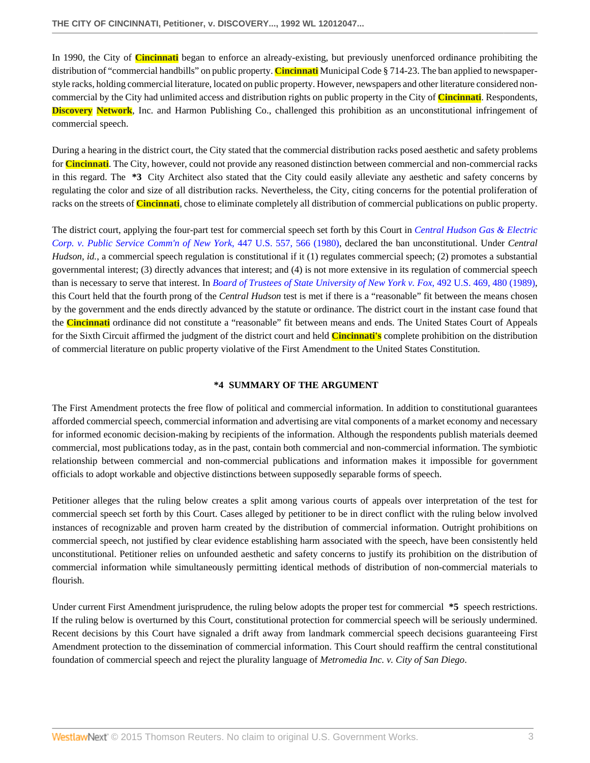In 1990, the City of **Cincinnati** began to enforce an already-existing, but previously unenforced ordinance prohibiting the distribution of "commercial handbills" on public property. **Cincinnati** Municipal Code § 714-23. The ban applied to newspaperstyle racks, holding commercial literature, located on public property. However, newspapers and other literature considered noncommercial by the City had unlimited access and distribution rights on public property in the City of **Cincinnati**. Respondents, **Discovery Network**, Inc. and Harmon Publishing Co., challenged this prohibition as an unconstitutional infringement of commercial speech.

During a hearing in the district court, the City stated that the commercial distribution racks posed aesthetic and safety problems for **Cincinnati**. The City, however, could not provide any reasoned distinction between commercial and non-commercial racks in this regard. The **\*3** City Architect also stated that the City could easily alleviate any aesthetic and safety concerns by regulating the color and size of all distribution racks. Nevertheless, the City, citing concerns for the potential proliferation of racks on the streets of **Cincinnati**, chose to eliminate completely all distribution of commercial publications on public property.

The district court, applying the four-part test for commercial speech set forth by this Court in *[Central Hudson Gas & Electric](http://www.westlaw.com/Link/Document/FullText?findType=Y&serNum=1980116785&pubNum=780&originatingDoc=I64865628f8ee11d8b80a9f6d63ee1f3d&refType=RP&fi=co_pp_sp_780_566&originationContext=document&vr=3.0&rs=cblt1.0&transitionType=DocumentItem&contextData=(sc.Search)#co_pp_sp_780_566) [Corp. v. Public Service Comm'n of New York](http://www.westlaw.com/Link/Document/FullText?findType=Y&serNum=1980116785&pubNum=780&originatingDoc=I64865628f8ee11d8b80a9f6d63ee1f3d&refType=RP&fi=co_pp_sp_780_566&originationContext=document&vr=3.0&rs=cblt1.0&transitionType=DocumentItem&contextData=(sc.Search)#co_pp_sp_780_566)*, 447 U.S. 557, 566 (1980), declared the ban unconstitutional. Under *Central Hudson, id.*, a commercial speech regulation is constitutional if it (1) regulates commercial speech; (2) promotes a substantial governmental interest; (3) directly advances that interest; and (4) is not more extensive in its regulation of commercial speech than is necessary to serve that interest. In *[Board of Trustees of State University of New York v. Fox](http://www.westlaw.com/Link/Document/FullText?findType=Y&serNum=1989096929&pubNum=780&originatingDoc=I64865628f8ee11d8b80a9f6d63ee1f3d&refType=RP&fi=co_pp_sp_780_480&originationContext=document&vr=3.0&rs=cblt1.0&transitionType=DocumentItem&contextData=(sc.Search)#co_pp_sp_780_480)*, 492 U.S. 469, 480 (1989), this Court held that the fourth prong of the *Central Hudson* test is met if there is a "reasonable" fit between the means chosen by the government and the ends directly advanced by the statute or ordinance. The district court in the instant case found that the **Cincinnati** ordinance did not constitute a "reasonable" fit between means and ends. The United States Court of Appeals for the Sixth Circuit affirmed the judgment of the district court and held **Cincinnati's** complete prohibition on the distribution of commercial literature on public property violative of the First Amendment to the United States Constitution.

### **\*4 SUMMARY OF THE ARGUMENT**

The First Amendment protects the free flow of political and commercial information. In addition to constitutional guarantees afforded commercial speech, commercial information and advertising are vital components of a market economy and necessary for informed economic decision-making by recipients of the information. Although the respondents publish materials deemed commercial, most publications today, as in the past, contain both commercial and non-commercial information. The symbiotic relationship between commercial and non-commercial publications and information makes it impossible for government officials to adopt workable and objective distinctions between supposedly separable forms of speech.

Petitioner alleges that the ruling below creates a split among various courts of appeals over interpretation of the test for commercial speech set forth by this Court. Cases alleged by petitioner to be in direct conflict with the ruling below involved instances of recognizable and proven harm created by the distribution of commercial information. Outright prohibitions on commercial speech, not justified by clear evidence establishing harm associated with the speech, have been consistently held unconstitutional. Petitioner relies on unfounded aesthetic and safety concerns to justify its prohibition on the distribution of commercial information while simultaneously permitting identical methods of distribution of non-commercial materials to flourish.

Under current First Amendment jurisprudence, the ruling below adopts the proper test for commercial **\*5** speech restrictions. If the ruling below is overturned by this Court, constitutional protection for commercial speech will be seriously undermined. Recent decisions by this Court have signaled a drift away from landmark commercial speech decisions guaranteeing First Amendment protection to the dissemination of commercial information. This Court should reaffirm the central constitutional foundation of commercial speech and reject the plurality language of *Metromedia Inc. v. City of San Diego*.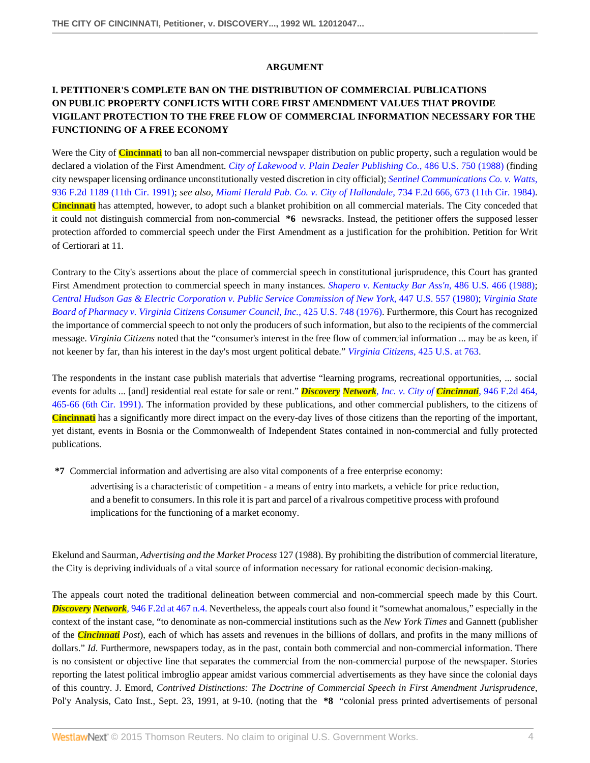### **ARGUMENT**

# **I. PETITIONER'S COMPLETE BAN ON THE DISTRIBUTION OF COMMERCIAL PUBLICATIONS ON PUBLIC PROPERTY CONFLICTS WITH CORE FIRST AMENDMENT VALUES THAT PROVIDE VIGILANT PROTECTION TO THE FREE FLOW OF COMMERCIAL INFORMATION NECESSARY FOR THE FUNCTIONING OF A FREE ECONOMY**

Were the City of **Cincinnati** to ban all non-commercial newspaper distribution on public property, such a regulation would be declared a violation of the First Amendment. *[City of Lakewood v. Plain Dealer Publishing Co.](http://www.westlaw.com/Link/Document/FullText?findType=Y&serNum=1988078738&pubNum=780&originatingDoc=I64865628f8ee11d8b80a9f6d63ee1f3d&refType=RP&originationContext=document&vr=3.0&rs=cblt1.0&transitionType=DocumentItem&contextData=(sc.Search))*, 486 U.S. 750 (1988) (finding city newspaper licensing ordinance unconstitutionally vested discretion in city official); *[Sentinel Communications Co. v. Watts](http://www.westlaw.com/Link/Document/FullText?findType=Y&serNum=1991123357&pubNum=350&originatingDoc=I64865628f8ee11d8b80a9f6d63ee1f3d&refType=RP&originationContext=document&vr=3.0&rs=cblt1.0&transitionType=DocumentItem&contextData=(sc.Search))*, [936 F.2d 1189 \(11th Cir. 1991\)](http://www.westlaw.com/Link/Document/FullText?findType=Y&serNum=1991123357&pubNum=350&originatingDoc=I64865628f8ee11d8b80a9f6d63ee1f3d&refType=RP&originationContext=document&vr=3.0&rs=cblt1.0&transitionType=DocumentItem&contextData=(sc.Search)); *see also, [Miami Herald Pub. Co. v. City of Hallandale](http://www.westlaw.com/Link/Document/FullText?findType=Y&serNum=1984126392&pubNum=350&originatingDoc=I64865628f8ee11d8b80a9f6d63ee1f3d&refType=RP&fi=co_pp_sp_350_673&originationContext=document&vr=3.0&rs=cblt1.0&transitionType=DocumentItem&contextData=(sc.Search)#co_pp_sp_350_673)*, 734 F.2d 666, 673 (11th Cir. 1984). **Cincinnati** has attempted, however, to adopt such a blanket prohibition on all commercial materials. The City conceded that it could not distinguish commercial from non-commercial **\*6** newsracks. Instead, the petitioner offers the supposed lesser protection afforded to commercial speech under the First Amendment as a justification for the prohibition. Petition for Writ of Certiorari at 11.

Contrary to the City's assertions about the place of commercial speech in constitutional jurisprudence, this Court has granted First Amendment protection to commercial speech in many instances. *[Shapero v. Kentucky Bar Ass'n](http://www.westlaw.com/Link/Document/FullText?findType=Y&serNum=1988077035&pubNum=780&originatingDoc=I64865628f8ee11d8b80a9f6d63ee1f3d&refType=RP&originationContext=document&vr=3.0&rs=cblt1.0&transitionType=DocumentItem&contextData=(sc.Search))*, 486 U.S. 466 (1988); *[Central Hudson Gas & Electric Corporation v. Public Service Commission of New York](http://www.westlaw.com/Link/Document/FullText?findType=Y&serNum=1980116785&pubNum=780&originatingDoc=I64865628f8ee11d8b80a9f6d63ee1f3d&refType=RP&originationContext=document&vr=3.0&rs=cblt1.0&transitionType=DocumentItem&contextData=(sc.Search))*, 447 U.S. 557 (1980); *[Virginia State](http://www.westlaw.com/Link/Document/FullText?findType=Y&serNum=1976142375&pubNum=780&originatingDoc=I64865628f8ee11d8b80a9f6d63ee1f3d&refType=RP&originationContext=document&vr=3.0&rs=cblt1.0&transitionType=DocumentItem&contextData=(sc.Search)) [Board of Pharmacy v. Virginia Citizens Consumer Council, Inc.](http://www.westlaw.com/Link/Document/FullText?findType=Y&serNum=1976142375&pubNum=780&originatingDoc=I64865628f8ee11d8b80a9f6d63ee1f3d&refType=RP&originationContext=document&vr=3.0&rs=cblt1.0&transitionType=DocumentItem&contextData=(sc.Search))*, 425 U.S. 748 (1976). Furthermore, this Court has recognized the importance of commercial speech to not only the producers of such information, but also to the recipients of the commercial message. *Virginia Citizens* noted that the "consumer's interest in the free flow of commercial information ... may be as keen, if not keener by far, than his interest in the day's most urgent political debate." *[Virginia Citizens](http://www.westlaw.com/Link/Document/FullText?findType=Y&serNum=1976142375&pubNum=780&originatingDoc=I64865628f8ee11d8b80a9f6d63ee1f3d&refType=RP&fi=co_pp_sp_780_763&originationContext=document&vr=3.0&rs=cblt1.0&transitionType=DocumentItem&contextData=(sc.Search)#co_pp_sp_780_763)*, 425 U.S. at 763.

The respondents in the instant case publish materials that advertise "learning programs, recreational opportunities, ... social events for adults ... [and] residential real estate for sale or rent." *Discovery Network[, Inc. v. City of](http://www.westlaw.com/Link/Document/FullText?findType=Y&serNum=1991169107&pubNum=350&originatingDoc=I64865628f8ee11d8b80a9f6d63ee1f3d&refType=RP&fi=co_pp_sp_350_465&originationContext=document&vr=3.0&rs=cblt1.0&transitionType=DocumentItem&contextData=(sc.Search)#co_pp_sp_350_465) Cincinnati*, 946 F.2d 464, [465-66 \(6th Cir. 1991\)](http://www.westlaw.com/Link/Document/FullText?findType=Y&serNum=1991169107&pubNum=350&originatingDoc=I64865628f8ee11d8b80a9f6d63ee1f3d&refType=RP&fi=co_pp_sp_350_465&originationContext=document&vr=3.0&rs=cblt1.0&transitionType=DocumentItem&contextData=(sc.Search)#co_pp_sp_350_465). The information provided by these publications, and other commercial publishers, to the citizens of **Cincinnati** has a significantly more direct impact on the every-day lives of those citizens than the reporting of the important, yet distant, events in Bosnia or the Commonwealth of Independent States contained in non-commercial and fully protected publications.

**\*7** Commercial information and advertising are also vital components of a free enterprise economy:

advertising is a characteristic of competition - a means of entry into markets, a vehicle for price reduction, and a benefit to consumers. In this role it is part and parcel of a rivalrous competitive process with profound implications for the functioning of a market economy.

Ekelund and Saurman, *Advertising and the Market Process* 127 (1988). By prohibiting the distribution of commercial literature, the City is depriving individuals of a vital source of information necessary for rational economic decision-making.

The appeals court noted the traditional delineation between commercial and non-commercial speech made by this Court. *Discovery Network*[, 946 F.2d at 467 n.4.](http://www.westlaw.com/Link/Document/FullText?findType=Y&serNum=1991169107&pubNum=350&originatingDoc=I64865628f8ee11d8b80a9f6d63ee1f3d&refType=RP&fi=co_pp_sp_350_467&originationContext=document&vr=3.0&rs=cblt1.0&transitionType=DocumentItem&contextData=(sc.Search)#co_pp_sp_350_467) Nevertheless, the appeals court also found it "somewhat anomalous," especially in the context of the instant case, "to denominate as non-commercial institutions such as the *New York Times* and Gannett (publisher of the *Cincinnati Post*), each of which has assets and revenues in the billions of dollars, and profits in the many millions of dollars." *Id*. Furthermore, newspapers today, as in the past, contain both commercial and non-commercial information. There is no consistent or objective line that separates the commercial from the non-commercial purpose of the newspaper. Stories reporting the latest political imbroglio appear amidst various commercial advertisements as they have since the colonial days of this country. J. Emord, *Contrived Distinctions: The Doctrine of Commercial Speech in First Amendment Jurisprudence*, Pol'y Analysis, Cato Inst., Sept. 23, 1991, at 9-10. (noting that the **\*8** "colonial press printed advertisements of personal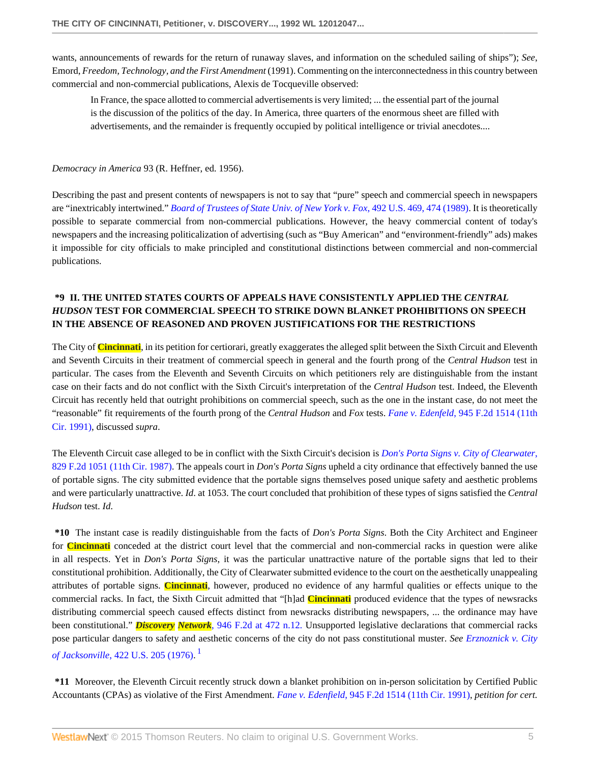wants, announcements of rewards for the return of runaway slaves, and information on the scheduled sailing of ships"); *See*, Emord, *Freedom, Technology, and the First Amendment* (1991). Commenting on the interconnectedness in this country between commercial and non-commercial publications, Alexis de Tocqueville observed:

In France, the space allotted to commercial advertisements is very limited; ... the essential part of the journal is the discussion of the politics of the day. In America, three quarters of the enormous sheet are filled with advertisements, and the remainder is frequently occupied by political intelligence or trivial anecdotes....

*Democracy in America* 93 (R. Heffner, ed. 1956).

Describing the past and present contents of newspapers is not to say that "pure" speech and commercial speech in newspapers are "inextricably intertwined." *[Board of Trustees of State Univ. of New York v. Fox](http://www.westlaw.com/Link/Document/FullText?findType=Y&serNum=1989096929&pubNum=780&originatingDoc=I64865628f8ee11d8b80a9f6d63ee1f3d&refType=RP&fi=co_pp_sp_780_474&originationContext=document&vr=3.0&rs=cblt1.0&transitionType=DocumentItem&contextData=(sc.Search)#co_pp_sp_780_474)*, 492 U.S. 469, 474 (1989). It is theoretically possible to separate commercial from non-commercial publications. However, the heavy commercial content of today's newspapers and the increasing politicalization of advertising (such as "Buy American" and "environment-friendly" ads) makes it impossible for city officials to make principled and constitutional distinctions between commercial and non-commercial publications.

# **\*9 II. THE UNITED STATES COURTS OF APPEALS HAVE CONSISTENTLY APPLIED THE** *CENTRAL HUDSON* **TEST FOR COMMERCIAL SPEECH TO STRIKE DOWN BLANKET PROHIBITIONS ON SPEECH IN THE ABSENCE OF REASONED AND PROVEN JUSTIFICATIONS FOR THE RESTRICTIONS**

The City of **Cincinnati**, in its petition for certiorari, greatly exaggerates the alleged split between the Sixth Circuit and Eleventh and Seventh Circuits in their treatment of commercial speech in general and the fourth prong of the *Central Hudson* test in particular. The cases from the Eleventh and Seventh Circuits on which petitioners rely are distinguishable from the instant case on their facts and do not conflict with the Sixth Circuit's interpretation of the *Central Hudson* test. Indeed, the Eleventh Circuit has recently held that outright prohibitions on commercial speech, such as the one in the instant case, do not meet the "reasonable" fit requirements of the fourth prong of the *Central Hudson* and *Fox* tests. *Fane v. Edenfeld*[, 945 F.2d 1514 \(11th](http://www.westlaw.com/Link/Document/FullText?findType=Y&serNum=1991171144&pubNum=350&originatingDoc=I64865628f8ee11d8b80a9f6d63ee1f3d&refType=RP&originationContext=document&vr=3.0&rs=cblt1.0&transitionType=DocumentItem&contextData=(sc.Search)) [Cir. 1991\)](http://www.westlaw.com/Link/Document/FullText?findType=Y&serNum=1991171144&pubNum=350&originatingDoc=I64865628f8ee11d8b80a9f6d63ee1f3d&refType=RP&originationContext=document&vr=3.0&rs=cblt1.0&transitionType=DocumentItem&contextData=(sc.Search)), discussed *supra*.

The Eleventh Circuit case alleged to be in conflict with the Sixth Circuit's decision is *[Don's Porta Signs v. City of Clearwater](http://www.westlaw.com/Link/Document/FullText?findType=Y&serNum=1987117619&pubNum=350&originatingDoc=I64865628f8ee11d8b80a9f6d63ee1f3d&refType=RP&originationContext=document&vr=3.0&rs=cblt1.0&transitionType=DocumentItem&contextData=(sc.Search))*, [829 F.2d 1051 \(11th Cir. 1987\)](http://www.westlaw.com/Link/Document/FullText?findType=Y&serNum=1987117619&pubNum=350&originatingDoc=I64865628f8ee11d8b80a9f6d63ee1f3d&refType=RP&originationContext=document&vr=3.0&rs=cblt1.0&transitionType=DocumentItem&contextData=(sc.Search)). The appeals court in *Don's Porta Signs* upheld a city ordinance that effectively banned the use of portable signs. The city submitted evidence that the portable signs themselves posed unique safety and aesthetic problems and were particularly unattractive. *Id*. at 1053. The court concluded that prohibition of these types of signs satisfied the *Central Hudson* test. *Id*.

**\*10** The instant case is readily distinguishable from the facts of *Don's Porta Signs*. Both the City Architect and Engineer for **Cincinnati** conceded at the district court level that the commercial and non-commercial racks in question were alike in all respects. Yet in *Don's Porta Signs*, it was the particular unattractive nature of the portable signs that led to their constitutional prohibition. Additionally, the City of Clearwater submitted evidence to the court on the aesthetically unappealing attributes of portable signs. **Cincinnati**, however, produced no evidence of any harmful qualities or effects unique to the commercial racks. In fact, the Sixth Circuit admitted that "[h]ad **Cincinnati** produced evidence that the types of newsracks distributing commercial speech caused effects distinct from newsracks distributing newspapers, ... the ordinance may have been constitutional." *Discovery Network*[, 946 F.2d at 472 n.12.](http://www.westlaw.com/Link/Document/FullText?findType=Y&serNum=1991169107&pubNum=350&originatingDoc=I64865628f8ee11d8b80a9f6d63ee1f3d&refType=RP&fi=co_pp_sp_350_472&originationContext=document&vr=3.0&rs=cblt1.0&transitionType=DocumentItem&contextData=(sc.Search)#co_pp_sp_350_472) Unsupported legislative declarations that commercial racks pose particular dangers to safety and aesthetic concerns of the city do not pass constitutional muster. *See [Erznoznick v. City](http://www.westlaw.com/Link/Document/FullText?findType=Y&serNum=1975129824&pubNum=780&originatingDoc=I64865628f8ee11d8b80a9f6d63ee1f3d&refType=RP&originationContext=document&vr=3.0&rs=cblt1.0&transitionType=DocumentItem&contextData=(sc.Search)) of Jacksonville*[, 422 U.S. 205 \(1976\).](http://www.westlaw.com/Link/Document/FullText?findType=Y&serNum=1975129824&pubNum=780&originatingDoc=I64865628f8ee11d8b80a9f6d63ee1f3d&refType=RP&originationContext=document&vr=3.0&rs=cblt1.0&transitionType=DocumentItem&contextData=(sc.Search)) [1](#page-7-1)

<span id="page-4-0"></span>**\*11** Moreover, the Eleventh Circuit recently struck down a blanket prohibition on in-person solicitation by Certified Public Accountants (CPAs) as violative of the First Amendment. *Fane v. Edenfield*[, 945 F.2d 1514 \(11th Cir. 1991\),](http://www.westlaw.com/Link/Document/FullText?findType=Y&serNum=1991171144&pubNum=350&originatingDoc=I64865628f8ee11d8b80a9f6d63ee1f3d&refType=RP&originationContext=document&vr=3.0&rs=cblt1.0&transitionType=DocumentItem&contextData=(sc.Search)) *petition for cert.*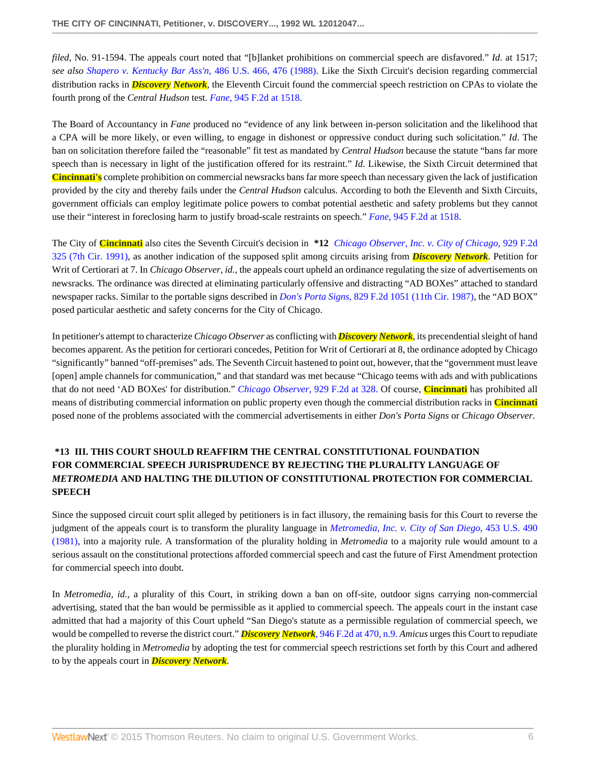*filed*, No. 91-1594. The appeals court noted that "[b]lanket prohibitions on commercial speech are disfavored." *Id*. at 1517; *see also [Shapero v. Kentucky Bar Ass'n](http://www.westlaw.com/Link/Document/FullText?findType=Y&serNum=1988077035&pubNum=780&originatingDoc=I64865628f8ee11d8b80a9f6d63ee1f3d&refType=RP&fi=co_pp_sp_780_476&originationContext=document&vr=3.0&rs=cblt1.0&transitionType=DocumentItem&contextData=(sc.Search)#co_pp_sp_780_476)*, 486 U.S. 466, 476 (1988). Like the Sixth Circuit's decision regarding commercial distribution racks in *Discovery Network*, the Eleventh Circuit found the commercial speech restriction on CPAs to violate the fourth prong of the *Central Hudson* test. *Fane*[, 945 F.2d at 1518](http://www.westlaw.com/Link/Document/FullText?findType=Y&serNum=1991171144&pubNum=350&originatingDoc=I64865628f8ee11d8b80a9f6d63ee1f3d&refType=RP&fi=co_pp_sp_350_1518&originationContext=document&vr=3.0&rs=cblt1.0&transitionType=DocumentItem&contextData=(sc.Search)#co_pp_sp_350_1518).

The Board of Accountancy in *Fane* produced no "evidence of any link between in-person solicitation and the likelihood that a CPA will be more likely, or even willing, to engage in dishonest or oppressive conduct during such solicitation." *Id*. The ban on solicitation therefore failed the "reasonable" fit test as mandated by *Central Hudson* because the statute "bans far more speech than is necessary in light of the justification offered for its restraint." *Id*. Likewise, the Sixth Circuit determined that **Cincinnati's** complete prohibition on commercial newsracks bans far more speech than necessary given the lack of justification provided by the city and thereby fails under the *Central Hudson* calculus. According to both the Eleventh and Sixth Circuits, government officials can employ legitimate police powers to combat potential aesthetic and safety problems but they cannot use their "interest in foreclosing harm to justify broad-scale restraints on speech." *Fane*[, 945 F.2d at 1518](http://www.westlaw.com/Link/Document/FullText?findType=Y&serNum=1991171144&pubNum=350&originatingDoc=I64865628f8ee11d8b80a9f6d63ee1f3d&refType=RP&fi=co_pp_sp_350_1518&originationContext=document&vr=3.0&rs=cblt1.0&transitionType=DocumentItem&contextData=(sc.Search)#co_pp_sp_350_1518).

The City of **Cincinnati** also cites the Seventh Circuit's decision in **\*12** *[Chicago Observer, Inc. v. City of Chicago](http://www.westlaw.com/Link/Document/FullText?findType=Y&serNum=1991068229&pubNum=350&originatingDoc=I64865628f8ee11d8b80a9f6d63ee1f3d&refType=RP&originationContext=document&vr=3.0&rs=cblt1.0&transitionType=DocumentItem&contextData=(sc.Search))*, 929 F.2d [325 \(7th Cir. 1991\),](http://www.westlaw.com/Link/Document/FullText?findType=Y&serNum=1991068229&pubNum=350&originatingDoc=I64865628f8ee11d8b80a9f6d63ee1f3d&refType=RP&originationContext=document&vr=3.0&rs=cblt1.0&transitionType=DocumentItem&contextData=(sc.Search)) as another indication of the supposed split among circuits arising from *Discovery Network*. Petition for Writ of Certiorari at 7. In *Chicago Observer, id.*, the appeals court upheld an ordinance regulating the size of advertisements on newsracks. The ordinance was directed at eliminating particularly offensive and distracting "AD BOXes" attached to standard newspaper racks. Similar to the portable signs described in *Don's Porta Signs*[, 829 F.2d 1051 \(11th Cir. 1987\),](http://www.westlaw.com/Link/Document/FullText?findType=Y&serNum=1987117619&pubNum=350&originatingDoc=I64865628f8ee11d8b80a9f6d63ee1f3d&refType=RP&originationContext=document&vr=3.0&rs=cblt1.0&transitionType=DocumentItem&contextData=(sc.Search)) the "AD BOX" posed particular aesthetic and safety concerns for the City of Chicago.

In petitioner's attempt to characterize *Chicago Observer* as conflicting with *Discovery Network*, its precendential sleight of hand becomes apparent. As the petition for certiorari concedes, Petition for Writ of Certiorari at 8, the ordinance adopted by Chicago "significantly" banned "off-premises" ads. The Seventh Circuit hastened to point out, however, that the "government must leave [open] ample channels for communication," and that standard was met because "Chicago teems with ads and with publications that do not need 'AD BOXes' for distribution." *[Chicago Observer](http://www.westlaw.com/Link/Document/FullText?findType=Y&serNum=1991068229&pubNum=350&originatingDoc=I64865628f8ee11d8b80a9f6d63ee1f3d&refType=RP&fi=co_pp_sp_350_328&originationContext=document&vr=3.0&rs=cblt1.0&transitionType=DocumentItem&contextData=(sc.Search)#co_pp_sp_350_328)*, 929 F.2d at 328. Of course, **Cincinnati** has prohibited all means of distributing commercial information on public property even though the commercial distribution racks in **Cincinnati** posed none of the problems associated with the commercial advertisements in either *Don's Porta Signs* or *Chicago Observer*.

# **\*13 III. THIS COURT SHOULD REAFFIRM THE CENTRAL CONSTITUTIONAL FOUNDATION FOR COMMERCIAL SPEECH JURISPRUDENCE BY REJECTING THE PLURALITY LANGUAGE OF** *METROMEDIA* **AND HALTING THE DILUTION OF CONSTITUTIONAL PROTECTION FOR COMMERCIAL SPEECH**

Since the supposed circuit court split alleged by petitioners is in fact illusory, the remaining basis for this Court to reverse the judgment of the appeals court is to transform the plurality language in *[Metromedia, Inc. v. City of San Diego](http://www.westlaw.com/Link/Document/FullText?findType=Y&serNum=1981128879&pubNum=780&originatingDoc=I64865628f8ee11d8b80a9f6d63ee1f3d&refType=RP&originationContext=document&vr=3.0&rs=cblt1.0&transitionType=DocumentItem&contextData=(sc.Search))*, 453 U.S. 490 [\(1981\),](http://www.westlaw.com/Link/Document/FullText?findType=Y&serNum=1981128879&pubNum=780&originatingDoc=I64865628f8ee11d8b80a9f6d63ee1f3d&refType=RP&originationContext=document&vr=3.0&rs=cblt1.0&transitionType=DocumentItem&contextData=(sc.Search)) into a majority rule. A transformation of the plurality holding in *Metromedia* to a majority rule would amount to a serious assault on the constitutional protections afforded commercial speech and cast the future of First Amendment protection for commercial speech into doubt.

In *Metromedia, id.*, a plurality of this Court, in striking down a ban on off-site, outdoor signs carrying non-commercial advertising, stated that the ban would be permissible as it applied to commercial speech. The appeals court in the instant case admitted that had a majority of this Court upheld "San Diego's statute as a permissible regulation of commercial speech, we would be compelled to reverse the district court." *Discovery Network*[, 946 F.2d at 470, n.9.](http://www.westlaw.com/Link/Document/FullText?findType=Y&serNum=1991169107&pubNum=350&originatingDoc=I64865628f8ee11d8b80a9f6d63ee1f3d&refType=RP&fi=co_pp_sp_350_470&originationContext=document&vr=3.0&rs=cblt1.0&transitionType=DocumentItem&contextData=(sc.Search)#co_pp_sp_350_470) *Amicus* urges this Court to repudiate the plurality holding in *Metromedia* by adopting the test for commercial speech restrictions set forth by this Court and adhered to by the appeals court in *Discovery Network*.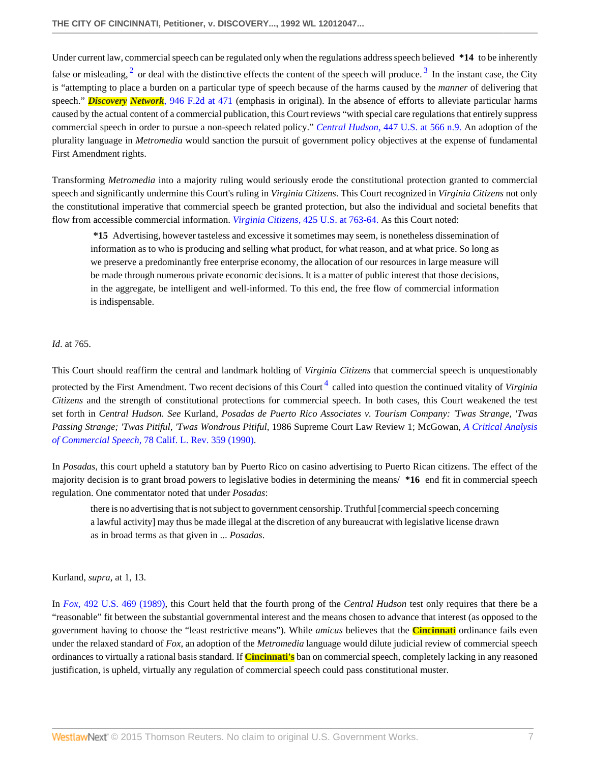<span id="page-6-1"></span><span id="page-6-0"></span>Under current law, commercial speech can be regulated only when the regulations address speech believed **\*14** to be inherently false or misleading,  $2$  or deal with the distinctive effects the content of the speech will produce.  $3$  In the instant case, the City is "attempting to place a burden on a particular type of speech because of the harms caused by the *manner* of delivering that speech." *Discovery Network*[, 946 F.2d at 471](http://www.westlaw.com/Link/Document/FullText?findType=Y&serNum=1991169107&pubNum=350&originatingDoc=I64865628f8ee11d8b80a9f6d63ee1f3d&refType=RP&fi=co_pp_sp_350_471&originationContext=document&vr=3.0&rs=cblt1.0&transitionType=DocumentItem&contextData=(sc.Search)#co_pp_sp_350_471) (emphasis in original). In the absence of efforts to alleviate particular harms caused by the actual content of a commercial publication, this Court reviews "with special care regulations that entirely suppress commercial speech in order to pursue a non-speech related policy." *Central Hudson*[, 447 U.S. at 566 n.9.](http://www.westlaw.com/Link/Document/FullText?findType=Y&serNum=1980116785&pubNum=780&originatingDoc=I64865628f8ee11d8b80a9f6d63ee1f3d&refType=RP&fi=co_pp_sp_780_566&originationContext=document&vr=3.0&rs=cblt1.0&transitionType=DocumentItem&contextData=(sc.Search)#co_pp_sp_780_566) An adoption of the plurality language in *Metromedia* would sanction the pursuit of government policy objectives at the expense of fundamental First Amendment rights.

Transforming *Metromedia* into a majority ruling would seriously erode the constitutional protection granted to commercial speech and significantly undermine this Court's ruling in *Virginia Citizens*. This Court recognized in *Virginia Citizens* not only the constitutional imperative that commercial speech be granted protection, but also the individual and societal benefits that flow from accessible commercial information. *Virginia Citizens*[, 425 U.S. at 763-64.](http://www.westlaw.com/Link/Document/FullText?findType=Y&serNum=1976142375&pubNum=780&originatingDoc=I64865628f8ee11d8b80a9f6d63ee1f3d&refType=RP&fi=co_pp_sp_780_763&originationContext=document&vr=3.0&rs=cblt1.0&transitionType=DocumentItem&contextData=(sc.Search)#co_pp_sp_780_763) As this Court noted:

**\*15** Advertising, however tasteless and excessive it sometimes may seem, is nonetheless dissemination of information as to who is producing and selling what product, for what reason, and at what price. So long as we preserve a predominantly free enterprise economy, the allocation of our resources in large measure will be made through numerous private economic decisions. It is a matter of public interest that those decisions, in the aggregate, be intelligent and well-informed. To this end, the free flow of commercial information is indispensable.

### *Id*. at 765.

This Court should reaffirm the central and landmark holding of *Virginia Citizens* that commercial speech is unquestionably protected by the First Amendment. Two recent decisions of this Court<sup>[4](#page-7-4)</sup> called into question the continued vitality of *Virginia Citizens* and the strength of constitutional protections for commercial speech. In both cases, this Court weakened the test set forth in *Central Hudson. See* Kurland, *Posadas de Puerto Rico Associates v. Tourism Company: 'Twas Strange, 'Twas Passing Strange; 'Twas Pitiful, 'Twas Wondrous Pitiful*, 1986 Supreme Court Law Review 1; McGowan, *[A Critical Analysis](http://www.westlaw.com/Link/Document/FullText?findType=Y&serNum=0101368451&pubNum=1107&originatingDoc=I64865628f8ee11d8b80a9f6d63ee1f3d&refType=LR&originationContext=document&vr=3.0&rs=cblt1.0&transitionType=DocumentItem&contextData=(sc.Search)) of Commercial Speech*[, 78 Calif. L. Rev. 359 \(1990\)](http://www.westlaw.com/Link/Document/FullText?findType=Y&serNum=0101368451&pubNum=1107&originatingDoc=I64865628f8ee11d8b80a9f6d63ee1f3d&refType=LR&originationContext=document&vr=3.0&rs=cblt1.0&transitionType=DocumentItem&contextData=(sc.Search)).

In *Posadas*, this court upheld a statutory ban by Puerto Rico on casino advertising to Puerto Rican citizens. The effect of the majority decision is to grant broad powers to legislative bodies in determining the means/ **\*16** end fit in commercial speech regulation. One commentator noted that under *Posadas*:

<span id="page-6-2"></span>there is no advertising that is not subject to government censorship. Truthful [commercial speech concerning a lawful activity] may thus be made illegal at the discretion of any bureaucrat with legislative license drawn as in broad terms as that given in ... *Posadas*.

#### Kurland, *supra*, at 1, 13.

In *Fox*[, 492 U.S. 469 \(1989\)](http://www.westlaw.com/Link/Document/FullText?findType=Y&serNum=1989096929&pubNum=780&originatingDoc=I64865628f8ee11d8b80a9f6d63ee1f3d&refType=RP&originationContext=document&vr=3.0&rs=cblt1.0&transitionType=DocumentItem&contextData=(sc.Search)), this Court held that the fourth prong of the *Central Hudson* test only requires that there be a "reasonable" fit between the substantial governmental interest and the means chosen to advance that interest (as opposed to the government having to choose the "least restrictive means"). While *amicus* believes that the **Cincinnati** ordinance fails even under the relaxed standard of *Fox*, an adoption of the *Metromedia* language would dilute judicial review of commercial speech ordinances to virtually a rational basis standard. If **Cincinnati's** ban on commercial speech, completely lacking in any reasoned justification, is upheld, virtually any regulation of commercial speech could pass constitutional muster.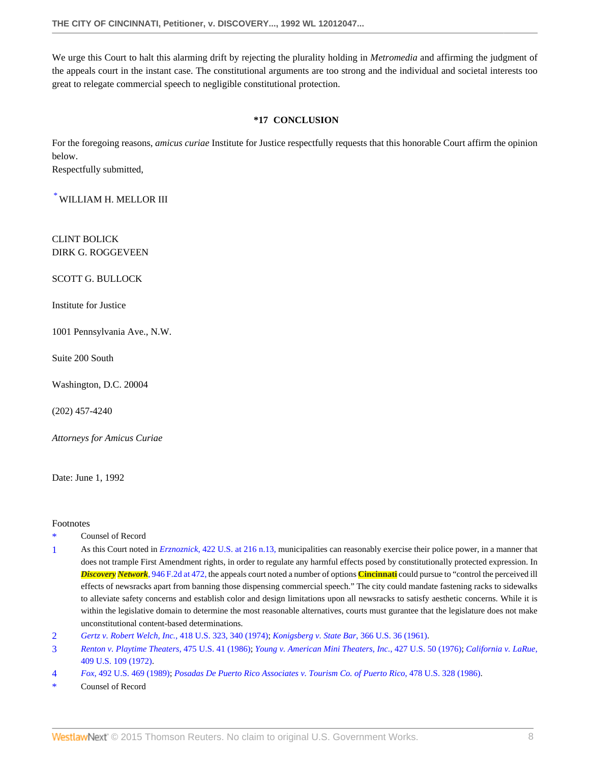We urge this Court to halt this alarming drift by rejecting the plurality holding in *Metromedia* and affirming the judgment of the appeals court in the instant case. The constitutional arguments are too strong and the individual and societal interests too great to relegate commercial speech to negligible constitutional protection.

## **\*17 CONCLUSION**

For the foregoing reasons, *amicus curiae* Institute for Justice respectfully requests that this honorable Court affirm the opinion below.

Respectfully submitted,

 $^*$  $^*$  WILLIAM H. MELLOR III

CLINT BOLICK DIRK G. ROGGEVEEN

SCOTT G. BULLOCK

Institute for Justice

1001 Pennsylvania Ave., N.W.

Suite 200 South

Washington, D.C. 20004

(202) 457-4240

*Attorneys for Amicus Curiae*

Date: June 1, 1992

Footnotes

- <span id="page-7-0"></span>Counsel of Record
- <span id="page-7-1"></span>[1](#page-4-0) As this Court noted in *Erznoznick*[, 422 U.S. at 216 n.13,](http://www.westlaw.com/Link/Document/FullText?findType=Y&serNum=1975129824&pubNum=780&originatingDoc=I64865628f8ee11d8b80a9f6d63ee1f3d&refType=RP&fi=co_pp_sp_780_216&originationContext=document&vr=3.0&rs=cblt1.0&transitionType=DocumentItem&contextData=(sc.Search)#co_pp_sp_780_216) municipalities can reasonably exercise their police power, in a manner that does not trample First Amendment rights, in order to regulate any harmful effects posed by constitutionally protected expression. In *Discovery Network*[, 946 F.2d at 472,](http://www.westlaw.com/Link/Document/FullText?findType=Y&serNum=1991169107&pubNum=350&originatingDoc=I64865628f8ee11d8b80a9f6d63ee1f3d&refType=RP&fi=co_pp_sp_350_472&originationContext=document&vr=3.0&rs=cblt1.0&transitionType=DocumentItem&contextData=(sc.Search)#co_pp_sp_350_472) the appeals court noted a number of options **Cincinnati** could pursue to "control the perceived ill effects of newsracks apart from banning those dispensing commercial speech." The city could mandate fastening racks to sidewalks to alleviate safety concerns and establish color and design limitations upon all newsracks to satisfy aesthetic concerns. While it is within the legislative domain to determine the most reasonable alternatives, courts must gurantee that the legislature does not make unconstitutional content-based determinations.
- <span id="page-7-2"></span>[2](#page-6-0) *[Gertz v. Robert Welch, Inc.](http://www.westlaw.com/Link/Document/FullText?findType=Y&serNum=1974127249&pubNum=780&originatingDoc=I64865628f8ee11d8b80a9f6d63ee1f3d&refType=RP&fi=co_pp_sp_780_340&originationContext=document&vr=3.0&rs=cblt1.0&transitionType=DocumentItem&contextData=(sc.Search)#co_pp_sp_780_340)*, 418 U.S. 323, 340 (1974); *[Konigsberg v. State Bar](http://www.westlaw.com/Link/Document/FullText?findType=Y&serNum=1961125481&pubNum=780&originatingDoc=I64865628f8ee11d8b80a9f6d63ee1f3d&refType=RP&originationContext=document&vr=3.0&rs=cblt1.0&transitionType=DocumentItem&contextData=(sc.Search))*, 366 U.S. 36 (1961).
- <span id="page-7-3"></span>[3](#page-6-1) *[Renton v. Playtime Theaters](http://www.westlaw.com/Link/Document/FullText?findType=Y&serNum=1986109853&pubNum=780&originatingDoc=I64865628f8ee11d8b80a9f6d63ee1f3d&refType=RP&originationContext=document&vr=3.0&rs=cblt1.0&transitionType=DocumentItem&contextData=(sc.Search))*, 475 U.S. 41 (1986); *[Young v. American Mini Theaters, Inc.](http://www.westlaw.com/Link/Document/FullText?findType=Y&serNum=1976142421&pubNum=780&originatingDoc=I64865628f8ee11d8b80a9f6d63ee1f3d&refType=RP&originationContext=document&vr=3.0&rs=cblt1.0&transitionType=DocumentItem&contextData=(sc.Search))*, 427 U.S. 50 (1976); *[California v. LaRue](http://www.westlaw.com/Link/Document/FullText?findType=Y&serNum=1972127220&pubNum=780&originatingDoc=I64865628f8ee11d8b80a9f6d63ee1f3d&refType=RP&originationContext=document&vr=3.0&rs=cblt1.0&transitionType=DocumentItem&contextData=(sc.Search))*, [409 U.S. 109 \(1972\).](http://www.westlaw.com/Link/Document/FullText?findType=Y&serNum=1972127220&pubNum=780&originatingDoc=I64865628f8ee11d8b80a9f6d63ee1f3d&refType=RP&originationContext=document&vr=3.0&rs=cblt1.0&transitionType=DocumentItem&contextData=(sc.Search))
- <span id="page-7-4"></span>[4](#page-6-2) *Fox*[, 492 U.S. 469 \(1989\)](http://www.westlaw.com/Link/Document/FullText?findType=Y&serNum=1989096929&pubNum=780&originatingDoc=I64865628f8ee11d8b80a9f6d63ee1f3d&refType=RP&originationContext=document&vr=3.0&rs=cblt1.0&transitionType=DocumentItem&contextData=(sc.Search)); *[Posadas De Puerto Rico Associates v. Tourism Co. of Puerto Rico](http://www.westlaw.com/Link/Document/FullText?findType=Y&serNum=1986133833&pubNum=780&originatingDoc=I64865628f8ee11d8b80a9f6d63ee1f3d&refType=RP&originationContext=document&vr=3.0&rs=cblt1.0&transitionType=DocumentItem&contextData=(sc.Search))*, 478 U.S. 328 (1986).
- Counsel of Record